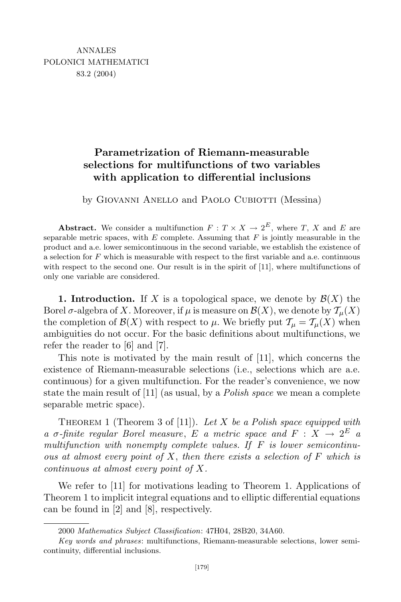## **Parametrization of Riemann-measurable selections for multifunctions of two variables with application to differential inclusions**

by Giovanni Anello and Paolo Cubiotti (Messina)

**Abstract.** We consider a multifunction  $F: T \times X \to 2^E$ , where *T*, *X* and *E* are separable metric spaces, with *E* complete. Assuming that *F* is jointly measurable in the product and a.e. lower semicontinuous in the second variable, we establish the existence of a selection for *F* which is measurable with respect to the first variable and a.e. continuous with respect to the second one. Our result is in the spirit of [11], where multifunctions of only one variable are considered.

**1. Introduction.** If X is a topological space, we denote by  $\mathcal{B}(X)$  the Borel  $\sigma$ -algebra of *X*. Moreover, if  $\mu$  is measure on  $\mathcal{B}(X)$ , we denote by  $\mathcal{T}_{\mu}(X)$ the completion of  $\mathcal{B}(X)$  with respect to  $\mu$ . We briefly put  $\mathcal{T}_{\mu} = \mathcal{T}_{\mu}(X)$  when ambiguities do not occur. For the basic definitions about multifunctions, we refer the reader to [6] and [7].

This note is motivated by the main result of [11], which concerns the existence of Riemann-measurable selections (i.e., selections which are a.e. continuous) for a given multifunction. For the reader's convenience, we now state the main result of [11] (as usual, by a *Polish space* we mean a complete separable metric space).

Theorem 1 (Theorem 3 of [11]). *Let X be a Polish space equipped with a σ*-finite regular Borel measure, *E a* metric space and *F* : *X*  $\rightarrow$  2<sup>*E*</sup> *a multifunction with nonempty complete values. If F is lower semicontinuous at almost every point of X*, *then there exists a selection of F which is continuous at almost every point of X.*

We refer to [11] for motivations leading to Theorem 1. Applications of Theorem 1 to implicit integral equations and to elliptic differential equations can be found in [2] and [8], respectively.

<sup>2000</sup> *Mathematics Subject Classification*: 47H04, 28B20, 34A60.

*Key words and phrases*: multifunctions, Riemann-measurable selections, lower semicontinuity, differential inclusions.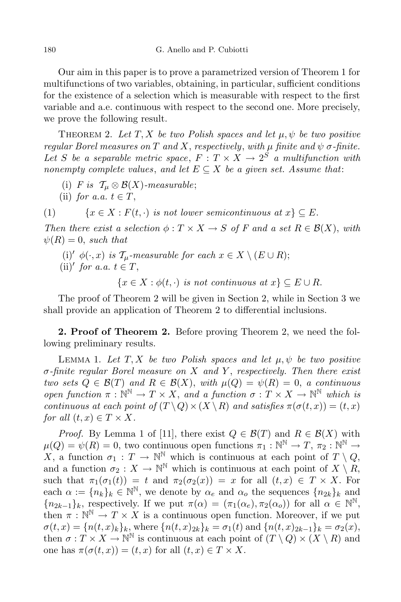Our aim in this paper is to prove a parametrized version of Theorem 1 for multifunctions of two variables, obtaining, in particular, sufficient conditions for the existence of a selection which is measurable with respect to the first variable and a.e. continuous with respect to the second one. More precisely, we prove the following result.

THEOREM 2. Let  $T$ ,  $X$  be two Polish spaces and let  $\mu$ ,  $\psi$  be two positive *regular Borel measures on T and X*, *respectively*, *with*  $\mu$  *finite and*  $\psi$  *σ*-*finite*. Let *S* be a separable metric space,  $F: T \times X \rightarrow 2^S$  a multifunction with *nonempty complete values*, and *let*  $E \subseteq X$  *be a given set. Assume that*:

- (i) *F* is  $\mathcal{T}_{\mu} \otimes \mathcal{B}(X)$ -measurable;
- (ii) *for a.a.*  $t \in T$ ,

(1)  $\{x \in X : F(t, \cdot) \text{ is not lower semicontinuous at } x\} \subseteq E.$ 

*Then there exist a selection*  $\phi: T \times X \to S$  *of F and a set*  $R \in \mathcal{B}(X)$ , *with*  $\psi(R) = 0$ , *such* that

(i)<sup> $\prime$ </sup>  $\phi(\cdot, x)$  *is*  $\mathcal{T}_{\mu}$ -measurable for each  $x \in X \setminus (E \cup R)$ ; (ii)<sup> $\prime$ </sup> *for a.a.*  $t \in T$ ,

 ${x \in X : \phi(t, \cdot) \text{ is not continuous at } x} \subset E \cup R.$ 

The proof of Theorem 2 will be given in Section 2, while in Section 3 we shall provide an application of Theorem 2 to differential inclusions.

**2. Proof of Theorem 2.** Before proving Theorem 2, we need the following preliminary results.

LEMMA 1. Let  $T$ ,  $X$  be two Polish spaces and let  $\mu$ ,  $\psi$  be two positive *σ-finite regular Borel measure on X and Y* , *respectively. Then there exist two sets*  $Q \in \mathcal{B}(T)$  *and*  $R \in \mathcal{B}(X)$ , *with*  $\mu(Q) = \psi(R) = 0$ , *a continuous open function*  $\pi : \mathbb{N}^{\mathbb{N}} \to T \times X$ , *and a function*  $\sigma : T \times X \to \mathbb{N}^{\mathbb{N}}$  *which is continuous* at each point of  $(T \setminus Q) \times (X \setminus R)$  and satisfies  $\pi(\sigma(t,x)) = (t,x)$ *for all*  $(t, x) \in T \times X$ *.* 

*Proof.* By Lemma 1 of [11], there exist  $Q \in \mathcal{B}(T)$  and  $R \in \mathcal{B}(X)$  with  $\mu(Q) = \psi(R) = 0$ , two continuous open functions  $\pi_1 : \mathbb{N}^{\mathbb{N}} \to T$ ,  $\pi_2 : \mathbb{N}^{\mathbb{N}} \to$ *X*, a function  $\sigma_1 : T \to \mathbb{N}^{\mathbb{N}}$  which is continuous at each point of  $T \setminus Q$ , and a function  $\sigma_2 : X \to \mathbb{N}^{\mathbb{N}}$  which is continuous at each point of  $X \setminus R$ , such that  $\pi_1(\sigma_1(t)) = t$  and  $\pi_2(\sigma_2(x)) = x$  for all  $(t, x) \in T \times X$ . For each  $\alpha := \{n_k\}_k \in \mathbb{N}^{\mathbb{N}},$  we denote by  $\alpha_e$  and  $\alpha_o$  the sequences  $\{n_{2k}\}_k$  and  ${n_{2k-1}}_k$ , respectively. If we put  $\pi(\alpha) = (\pi_1(\alpha_e), \pi_2(\alpha_o))$  for all  $\alpha \in \mathbb{N}^{\mathbb{N}},$ then  $\pi : \mathbb{N}^{\mathbb{N}} \to T \times X$  is a continuous open function. Moreover, if we put  $\sigma(t,x) = \{n(t,x)_k\}_k$ , where  $\{n(t,x)_{2k}\}_k = \sigma_1(t)$  and  $\{n(t,x)_{2k-1}\}_k = \sigma_2(x)$ , then  $\sigma: T \times X \to \mathbb{N}^{\mathbb{N}}$  is continuous at each point of  $(T \setminus Q) \times (X \setminus R)$  and one has  $\pi(\sigma(t,x)) = (t,x)$  for all  $(t,x) \in T \times X$ .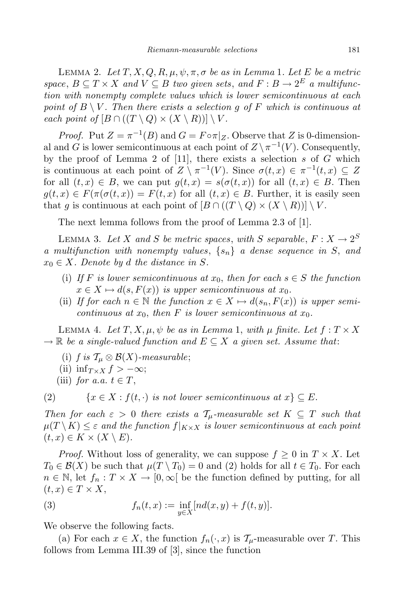LEMMA 2. Let  $T, X, Q, R, \mu, \psi, \pi, \sigma$  be as in Lemma 1. Let E be a metric *space*,  $B \subseteq T \times X$  *and*  $V \subseteq B$  *two given sets, and*  $F : B \to 2^E$  *a multifunction with nonempty complete values which is lower semicontinuous at each point* of  $B \setminus V$ . Then there exists a selection q of F which is continuous at *each point of*  $[B \cap ((T \setminus Q) \times (X \setminus R))] \setminus V$ .

*Proof.* Put  $Z = \pi^{-1}(B)$  and  $G = F \circ \pi|_Z$ . Observe that *Z* is 0-dimensional and *G* is lower semicontinuous at each point of  $Z \setminus \pi^{-1}(V)$ . Consequently, by the proof of Lemma 2 of [11], there exists a selection  $s$  of  $\tilde{G}$  which is continuous at each point of  $Z \setminus \pi^{-1}(V)$ . Since  $\sigma(t, x) \in \pi^{-1}(t, x) \subseteq Z$ for all  $(t, x) \in B$ , we can put  $g(t, x) = s(\sigma(t, x))$  for all  $(t, x) \in B$ . Then  $g(t, x) \in F(\pi(\sigma(t, x)) = F(t, x)$  for all  $(t, x) \in B$ . Further, it is easily seen that *g* is continuous at each point of  $[B \cap ((T \setminus Q) \times (X \setminus R))] \setminus V$ .

The next lemma follows from the proof of Lemma 2.3 of [1].

LEMMA 3. Let *X* and *S* be metric spaces, with *S* separable,  $F: X \to 2^S$ *a multifunction with nonempty values*, *{sn} a dense sequence in S*, *and*  $x_0 \in X$ *. Denote by d the distance in S.* 

- (i) If F is lower semicontinuous at  $x_0$ , then for each  $s \in S$  the function  $x \in X \mapsto d(s, F(x))$  *is upper semicontinuous at*  $x_0$ .
- (ii) If for each  $n \in \mathbb{N}$  the function  $x \in X \mapsto d(s_n, F(x))$  is upper semi*continuous at*  $x_0$ *, then F is lower semicontinuous at*  $x_0$ *.*

LEMMA 4. Let  $T, X, \mu, \psi$  be as in Lemma 1, with  $\mu$  finite. Let  $f: T \times X$  $\rightarrow \mathbb{R}$  *be a single-valued function and*  $E \subseteq X$  *a given set. Assume that:* 

- (i) *f* is  $\mathcal{T}_{\mu} \otimes \mathcal{B}(X)$ -measurable;
- (ii) inf $T \times X$   $f > -\infty$ ;
- (iii) *for a.a.*  $t \in T$ ,

(2)  $\{x \in X : f(t, \cdot) \text{ is not lower semicontinuous at } x\} \subseteq E.$ 

*Then for each*  $\varepsilon > 0$  *there exists* a  $\mathcal{T}_{\mu}$ -measurable set  $K \subseteq T$  *such that*  $\mu(T \setminus K) \leq \varepsilon$  and the function  $f|_{K \times X}$  is lower semicontinuous at each point  $(t, x) \in K \times (X \setminus E).$ 

*Proof.* Without loss of generality, we can suppose  $f \geq 0$  in  $T \times X$ . Let  $T_0 \in \mathcal{B}(X)$  be such that  $\mu(T \setminus T_0) = 0$  and (2) holds for all  $t \in T_0$ . For each  $n \in \mathbb{N}$ , let  $f_n: T \times X \to [0, \infty[$  be the function defined by putting, for all  $(t, x) \in T \times X$ ,

(3) 
$$
f_n(t,x) := \inf_{y \in X} [nd(x,y) + f(t,y)].
$$

We observe the following facts.

(a) For each  $x \in X$ , the function  $f_n(\cdot, x)$  is  $\mathcal{T}_{\mu}$ -measurable over *T*. This follows from Lemma III.39 of [3], since the function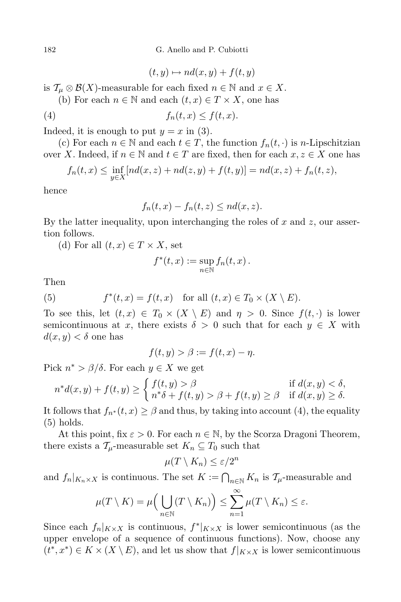182 G. Anello and P. Cubiotti

$$
(t, y) \mapsto nd(x, y) + f(t, y)
$$

is  $\mathcal{T}_{\mu} \otimes \mathcal{B}(X)$ -measurable for each fixed  $n \in \mathbb{N}$  and  $x \in X$ .

(b) For each  $n \in \mathbb{N}$  and each  $(t, x) \in T \times X$ , one has

(4) 
$$
f_n(t,x) \le f(t,x).
$$

Indeed, it is enough to put  $y = x$  in (3).

(c) For each  $n \in \mathbb{N}$  and each  $t \in T$ , the function  $f_n(t, \cdot)$  is *n*-Lipschitzian over *X*. Indeed, if  $n \in \mathbb{N}$  and  $t \in T$  are fixed, then for each  $x, z \in X$  one has

$$
f_n(t,x) \le \inf_{y \in X} [nd(x,z) + nd(z,y) + f(t,y)] = nd(x,z) + f_n(t,z),
$$

hence

$$
f_n(t,x) - f_n(t,z) \le nd(x,z).
$$

By the latter inequality, upon interchanging the roles of *x* and *z*, our assertion follows.

(d) For all  $(t, x) \in T \times X$ , set

$$
f^*(t,x) := \sup_{n \in \mathbb{N}} f_n(t,x).
$$

Then

(5) 
$$
f^*(t, x) = f(t, x) \text{ for all } (t, x) \in T_0 \times (X \setminus E).
$$

To see this, let  $(t, x) \in T_0 \times (X \setminus E)$  and  $\eta > 0$ . Since  $f(t, \cdot)$  is lower semicontinuous at *x*, there exists  $\delta > 0$  such that for each  $y \in X$  with  $d(x, y) < \delta$  one has

$$
f(t, y) > \beta := f(t, x) - \eta.
$$

Pick  $n^*$  >  $\beta/\delta$ . For each  $y \in X$  we get

$$
n^*d(x,y) + f(t,y) \ge \begin{cases} f(t,y) > \beta & \text{if } d(x,y) < \delta, \\ n^*\delta + f(t,y) > \beta + f(t,y) \ge \beta & \text{if } d(x,y) \ge \delta. \end{cases}
$$

It follows that  $f_{n^*}(t, x) \geq \beta$  and thus, by taking into account (4), the equality (5) holds.

At this point, fix  $\varepsilon > 0$ . For each  $n \in \mathbb{N}$ , by the Scorza Dragoni Theorem, there exists a  $\mathcal{T}_{\mu}$ -measurable set  $K_n \subseteq T_0$  such that

$$
\mu(T \setminus K_n) \le \varepsilon/2^n
$$

and  $f_n|_{K_n \times X}$  is continuous. The set  $K := \bigcap_{n \in \mathbb{N}} K_n$  is  $\mathcal{T}_{\mu}$ -measurable and

$$
\mu(T \setminus K) = \mu\Big(\bigcup_{n \in \mathbb{N}} (T \setminus K_n)\Big) \le \sum_{n=1}^{\infty} \mu(T \setminus K_n) \le \varepsilon.
$$

Since each  $f_n|_{K\times X}$  is continuous,  $f^*|_{K\times X}$  is lower semicontinuous (as the upper envelope of a sequence of continuous functions). Now, choose any  $(t^*, x^*) \in K \times (X \setminus E)$ , and let us show that  $f|_{K \times X}$  is lower semicontinuous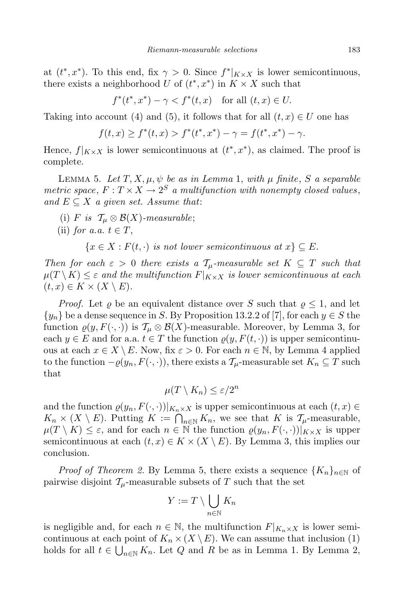at  $(t^*, x^*)$ . To this end, fix  $\gamma > 0$ . Since  $f^*|_{K \times X}$  is lower semicontinuous, there exists a neighborhood *U* of  $(t^*, x^*)$  in  $K \times X$  such that

 $f^*(t^*, x^*) - \gamma < f^*(t, x)$  for all  $(t, x) \in U$ .

Taking into account (4) and (5), it follows that for all  $(t, x) \in U$  one has

$$
f(t,x) \ge f^*(t,x) > f^*(t^*,x^*) - \gamma = f(t^*,x^*) - \gamma.
$$

Hence,  $f|_{K \times X}$  is lower semicontinuous at  $(t^*, x^*)$ , as claimed. The proof is complete.

LEMMA 5. Let  $T$ ,  $X$ ,  $\mu$ ,  $\psi$  be as in Lemma 1, with  $\mu$  finite,  $S$  a separable *metric* space,  $F: T \times X \rightarrow 2^S$  *a multifunction with nonempty closed values*,  $and E ⊂ X a given set. Assume that:$ 

(i) *F* is  $\mathcal{T}_{\mu} \otimes \mathcal{B}(X)$ -measurable;

(ii) for a.a. 
$$
t \in T
$$
,

 ${x \in X : F(t, \cdot) \text{ is not lower semicontinuous at } x} \subseteq E.$ 

*Then for each*  $\varepsilon > 0$  *there exists* a  $\mathcal{T}_{\mu}$ -measurable set  $K \subseteq T$  *such that*  $\mu(T \setminus K) \leq \varepsilon$  *and the multifunction*  $F|_{K \times X}$  *is lower semicontinuous at each*  $(t, x) \in K \times (X \setminus E).$ 

*Proof.* Let  $\varrho$  be an equivalent distance over *S* such that  $\varrho \leq 1$ , and let  ${y_n}$  be a dense sequence in *S*. By Proposition 13.2.2 of [7], for each  $y \in S$  the function  $\rho(y, F(\cdot, \cdot))$  is  $\mathcal{T}_\mu \otimes \mathcal{B}(X)$ -measurable. Moreover, by Lemma 3, for each  $y \in E$  and for a.a.  $t \in T$  the function  $\rho(y, F(t, \cdot))$  is upper semicontinuous at each  $x \in X \setminus E$ . Now, fix  $\varepsilon > 0$ . For each  $n \in \mathbb{N}$ , by Lemma 4 applied to the function  $-\varrho(y_n, F(\cdot, \cdot))$ , there exists a  $\mathcal{T}_u$ -measurable set  $K_n \subseteq T$  such that

$$
\mu(T \setminus K_n) \le \varepsilon/2^n
$$

and the function  $\varrho(y_n, F(\cdot, \cdot))|_{K_n \times X}$  is upper semicontinuous at each  $(t, x) \in$  $K_n \times (X \setminus E)$ . Putting  $K := \bigcap_{n \in \mathbb{N}} K_n$ , we see that  $K$  is  $\mathcal{T}_{\mu}$ -measurable,  $\mu(T \setminus K) \leq \varepsilon$ , and for each  $n \in \mathbb{N}$  the function  $\varrho(y_n, F(\cdot, \cdot))|_{K \times X}$  is upper semicontinuous at each  $(t, x) \in K \times (X \setminus E)$ . By Lemma 3, this implies our conclusion.

*Proof of Theorem 2.* By Lemma 5, there exists a sequence  $\{K_n\}_{n\in\mathbb{N}}$  of pairwise disjoint  $\mathcal{T}_{\mu}$ -measurable subsets of *T* such that the set

$$
Y:=T\setminus\bigcup_{n\in\mathbb{N}}K_n
$$

is negligible and, for each  $n \in \mathbb{N}$ , the multifunction  $F|_{K_n \times X}$  is lower semicontinuous at each point of  $K_n \times (X \setminus E)$ . We can assume that inclusion (1) holds for all  $t \in \bigcup_{n \in \mathbb{N}} K_n$ . Let *Q* and *R* be as in Lemma 1. By Lemma 2,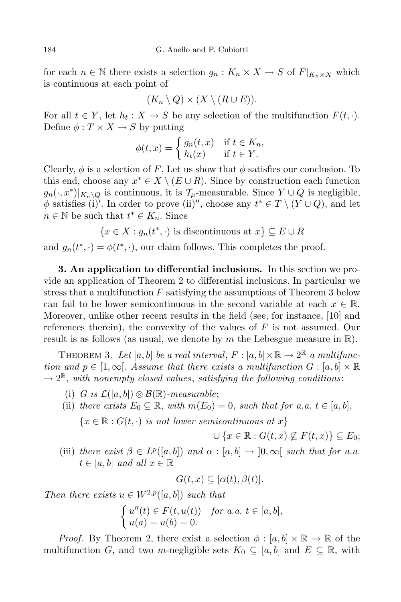for each  $n \in \mathbb{N}$  there exists a selection  $g_n: K_n \times X \to S$  of  $F|_{K_n \times X}$  which is continuous at each point of

$$
(K_n \setminus Q) \times (X \setminus (R \cup E)).
$$

For all  $t \in Y$ , let  $h_t : X \to S$  be any selection of the multifunction  $F(t, \cdot)$ . Define  $\phi: T \times X \rightarrow S$  by putting

$$
\phi(t,x) = \begin{cases} g_n(t,x) & \text{if } t \in K_n, \\ h_t(x) & \text{if } t \in Y. \end{cases}
$$

Clearly,  $\phi$  is a selection of *F*. Let us show that  $\phi$  satisfies our conclusion. To this end, choose any  $x^* \in X \setminus (E \cup R)$ . Since by construction each function  $g_n(\cdot, x^*)|_{K_n \setminus Q}$  is continuous, it is  $\mathcal{T}_\mu$ -measurable. Since  $Y \cup Q$  is negligible,  $\phi$  satisfies (i)'. In order to prove (ii)'', choose any  $t^* \in T \setminus (Y \cup Q)$ , and let  $n \in \mathbb{N}$  be such that  $t^* \in K_n$ . Since

$$
\{x \in X : g_n(t^*, \cdot) \text{ is discontinuous at } x\} \subseteq E \cup R
$$

and  $g_n(t^*, \cdot) = \phi(t^*, \cdot)$ , our claim follows. This completes the proof.

**3. An application to differential inclusions.** In this section we provide an application of Theorem 2 to differential inclusions. In particular we stress that a multifunction *F* satisfying the assumptions of Theorem 3 below can fail to be lower semicontinuous in the second variable at each  $x \in \mathbb{R}$ . Moreover, unlike other recent results in the field (see, for instance, [10] and references therein), the convexity of the values of *F* is not assumed. Our result is as follows (as usual, we denote by *m* the Lebesgue measure in R).

THEOREM 3. Let  $[a, b]$  be a real interval,  $F : [a, b] \times \mathbb{R} \to 2^{\mathbb{R}}$  a multifunc*tion* and  $p \in [1, \infty]$ . Assume that there exists a multifunction  $G : [a, b] \times \mathbb{R}$ *→* 2 <sup>R</sup>, *with nonempty closed values*, *satisfying the following conditions*:

- (i) *G* is  $\mathcal{L}([a, b]) \otimes \mathcal{B}(\mathbb{R})$ -measurable;
- (ii) *there exists*  $E_0 \subseteq \mathbb{R}$ , *with*  $m(E_0) = 0$ , *such that for a.a.*  $t \in [a, b]$ ,

 ${x \in \mathbb{R} : G(t, \cdot) \text{ is not lower semicontinuous at } x}$ 

$$
\cup \{x \in \mathbb{R} : G(t, x) \not\subseteq F(t, x)\} \subseteq E_0;
$$

(iii) *there exist*  $\beta \in L^p([a, b])$  *and*  $\alpha : [a, b] \rightarrow ]0, \infty[$  *such that for a.a.*  $t \in [a, b]$  *and all*  $x \in \mathbb{R}$ 

$$
G(t, x) \subseteq [\alpha(t), \beta(t)].
$$

*Then there exists*  $u \in W^{2,p}([a, b])$  *such that* 

$$
\begin{cases}\n u''(t) \in F(t, u(t)) & \text{for a.a. } t \in [a, b], \\
u(a) = u(b) = 0.\n\end{cases}
$$

*Proof.* By Theorem 2, there exist a selection  $\phi : [a, b] \times \mathbb{R} \to \mathbb{R}$  of the multifunction *G*, and two *m*-negligible sets  $K_0 \subseteq [a, b]$  and  $E \subseteq \mathbb{R}$ , with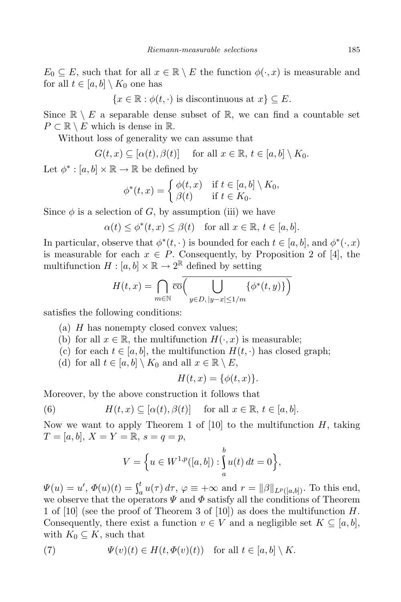$E_0 \subseteq E$ , such that for all  $x \in \mathbb{R} \setminus E$  the function  $\phi(\cdot, x)$  is measurable and for all  $t \in [a, b] \setminus K_0$  one has

 ${x \in \mathbb{R} : \phi(t, \cdot) \text{ is discontinuous at } x} \subset E.$ 

Since  $\mathbb{R} \setminus E$  a separable dense subset of  $\mathbb{R}$ , we can find a countable set  $P \subset \mathbb{R} \setminus E$  which is dense in  $\mathbb{R}$ .

Without loss of generality we can assume that

$$
G(t, x) \subseteq [\alpha(t), \beta(t)] \quad \text{ for all } x \in \mathbb{R}, t \in [a, b] \setminus K_0.
$$

Let  $\phi^* : [a, b] \times \mathbb{R} \to \mathbb{R}$  be defined by

$$
\phi^*(t,x) = \begin{cases} \phi(t,x) & \text{if } t \in [a,b] \setminus K_0, \\ \beta(t) & \text{if } t \in K_0. \end{cases}
$$

Since  $\phi$  is a selection of *G*, by assumption (iii) we have

 $\alpha(t) \leq \phi^*(t, x) \leq \beta(t)$  for all  $x \in \mathbb{R}, t \in [a, b].$ 

In particular, observe that  $\phi^*(t, \cdot)$  is bounded for each  $t \in [a, b]$ , and  $\phi^*(\cdot, x)$ is measurable for each  $x \in P$ . Consequently, by Proposition 2 of [4], the multifunction  $H : [a, b] \times \mathbb{R} \to 2^{\mathbb{R}}$  defined by setting

$$
H(t,x) = \bigcap_{m \in \mathbb{N}} \overline{\text{co}}\left(\bigcup_{y \in D, |y-x| \le 1/m} \{\phi^*(t,y)\}\right)
$$

satisfies the following conditions:

- (a) *H* has nonempty closed convex values;
- (b) for all  $x \in \mathbb{R}$ , the multifunction  $H(\cdot, x)$  is measurable;
- (c) for each  $t \in [a, b]$ , the multifunction  $H(t, \cdot)$  has closed graph;
- (d) for all  $t \in [a, b] \setminus K_0$  and all  $x \in \mathbb{R} \setminus E$ ,

$$
H(t,x) = \{\phi(t,x)\}.
$$

Moreover, by the above construction it follows that

(6) 
$$
H(t,x) \subseteq [\alpha(t),\beta(t)] \text{ for all } x \in \mathbb{R}, t \in [a,b].
$$

Now we want to apply Theorem 1 of [10] to the multifunction *H*, taking  $T = [a, b], X = Y = \mathbb{R}, s = q = p,$ 

$$
V = \left\{ u \in W^{1,p}([a,b]) : \int_a^b u(t) \, dt = 0 \right\},\
$$

 $\Psi(u) = u', \, \Phi(u)(t) = \int_a^t u(\tau)$  $a_a^{\mu} u(\tau) d\tau$ ,  $\varphi \equiv +\infty$  and  $r = ||\beta||_{L^p([a,b])}$ . To this end, we observe that the operators  $\Psi$  and  $\Phi$  satisfy all the conditions of Theorem 1 of [10] (see the proof of Theorem 3 of [10]) as does the multifunction *H*. Consequently, there exist a function  $v \in V$  and a negligible set  $K \subseteq [a, b]$ , with  $K_0 \subseteq K$ , such that

(7) 
$$
\Psi(v)(t) \in H(t, \Phi(v)(t)) \text{ for all } t \in [a, b] \setminus K.
$$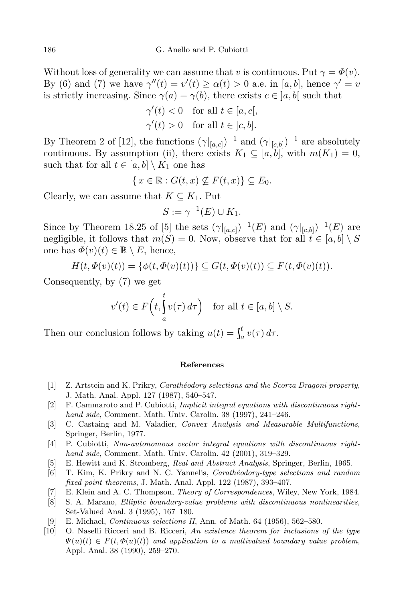Without loss of generality we can assume that *v* is continuous. Put  $\gamma = \Phi(v)$ . By (6) and (7) we have  $\gamma''(t) = v'(t) \ge \alpha(t) > 0$  a.e. in [*a*, *b*], hence  $\gamma' = v'$ is strictly increasing. Since  $\gamma(a) = \gamma(b)$ , there exists  $c \in [a, b]$  such that

$$
\gamma'(t) < 0 \quad \text{for all } t \in [a, c],
$$
\n
$$
\gamma'(t) > 0 \quad \text{for all } t \in [c, b].
$$

By Theorem 2 of [12], the functions  $(\gamma|_{[a,c]})^{-1}$  and  $(\gamma|_{[c,b]})^{-1}$  are absolutely continuous. By assumption (ii), there exists  $K_1 \subseteq [a, b]$ , with  $m(K_1) = 0$ , such that for all  $t \in [a, b] \setminus K_1$  one has

$$
\{x \in \mathbb{R} : G(t, x) \not\subseteq F(t, x)\} \subseteq E_0.
$$

Clearly, we can assume that  $K \subseteq K_1$ . Put

$$
S := \gamma^{-1}(E) \cup K_1.
$$

Since by Theorem 18.25 of [5] the sets  $(\gamma|_{[a,c]})^{-1}(E)$  and  $(\gamma|_{[c,b]})^{-1}(E)$  are negligible, it follows that  $m(S) = 0$ . Now, observe that for all  $t \in [a, b] \setminus S$ one has  $\Phi(v)(t) \in \mathbb{R} \setminus E$ , hence,

$$
H(t, \Phi(v)(t)) = {\phi(t, \Phi(v)(t))} \subseteq G(t, \Phi(v)(t)) \subseteq F(t, \Phi(v)(t)).
$$

Consequently, by (7) we get

$$
v'(t) \in F\left(t, \int_{a}^{t} v(\tau) d\tau\right) \quad \text{for all } t \in [a, b] \setminus S.
$$

Then our conclusion follows by taking  $u(t) = \int_a^t v(\tau)$  $\int_a^b v(\tau) d\tau.$ 

## **References**

- [1] Z. Artstein and K. Prikry, *Carath´eodory selections and the Scorza Dragoni property*, J. Math. Anal. Appl. 127 (1987), 540–547.
- [2] F. Cammaroto and P. Cubiotti, *Implicit integral equations with discontinuous righthand side*, Comment. Math. Univ. Carolin. 38 (1997), 241–246.
- [3] C. Castaing and M. Valadier, *Convex Analysis and Measurable Multifunctions*, Springer, Berlin, 1977.
- [4] P. Cubiotti, *Non-autonomous vector integral equations with discontinuous righthand side*, Comment. Math. Univ. Carolin. 42 (2001), 319–329.
- [5] E. Hewitt and K. Stromberg, *Real and Abstract Analysis*, Springer, Berlin, 1965.
- [6] T. Kim, K. Prikry and N. C. Yannelis, *Carath´eodory-type selections and random fixed point theorems*, J. Math. Anal. Appl. 122 (1987), 393–407.
- [7] E. Klein and A. C. Thompson, *Theory of Correspondences*, Wiley, New York, 1984.
- [8] S. A. Marano, *Elliptic boundary-value problems with discontinuous nonlinearities*, Set-Valued Anal. 3 (1995), 167–180.
- [9] E. Michael, *Continuous selections II*, Ann. of Math. 64 (1956), 562–580.
- [10] O. Naselli Ricceri and B. Ricceri, *An existence theorem for inclusions of the type*  $\Psi(u)(t) \in F(t, \Phi(u)(t))$  and application to a multivalued boundary value problem, Appl. Anal. 38 (1990), 259–270.